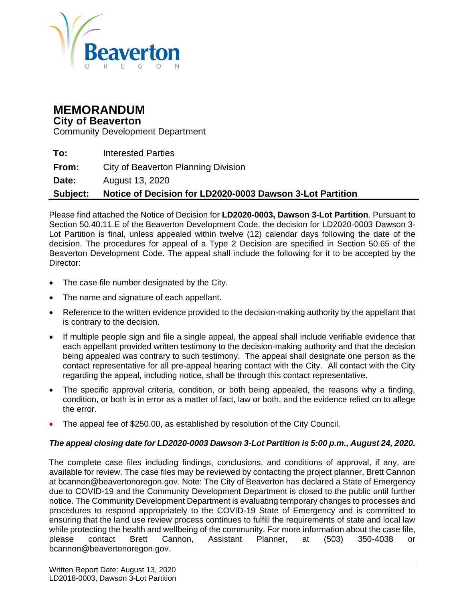

# **MEMORANDUM**

#### **City of Beaverton**

Community Development Department

| Subject: | Notice of Decision for LD2020-0003 Dawson 3-Lot Partition |
|----------|-----------------------------------------------------------|
| Date:    | August 13, 2020                                           |
| From:    | City of Beaverton Planning Division                       |
| To:      | <b>Interested Parties</b>                                 |

Please find attached the Notice of Decision for **LD2020-0003, Dawson 3-Lot Partition**. Pursuant to Section 50.40.11.E of the Beaverton Development Code, the decision for LD2020-0003 Dawson 3- Lot Partition is final, unless appealed within twelve (12) calendar days following the date of the decision. The procedures for appeal of a Type 2 Decision are specified in Section 50.65 of the Beaverton Development Code. The appeal shall include the following for it to be accepted by the Director:

- The case file number designated by the City.
- The name and signature of each appellant.
- Reference to the written evidence provided to the decision-making authority by the appellant that is contrary to the decision.
- If multiple people sign and file a single appeal, the appeal shall include verifiable evidence that each appellant provided written testimony to the decision-making authority and that the decision being appealed was contrary to such testimony. The appeal shall designate one person as the contact representative for all pre-appeal hearing contact with the City. All contact with the City regarding the appeal, including notice, shall be through this contact representative.
- The specific approval criteria, condition, or both being appealed, the reasons why a finding, condition, or both is in error as a matter of fact, law or both, and the evidence relied on to allege the error.
- The appeal fee of \$250.00, as established by resolution of the City Council.

#### *The appeal closing date for LD2020-0003 Dawson 3-Lot Partition is 5:00 p.m., August 24, 2020.*

The complete case files including findings, conclusions, and conditions of approval, if any, are available for review. The case files may be reviewed by contacting the project planner, Brett Cannon at bcannon@beavertonoregon.gov. Note: The City of Beaverton has declared a State of Emergency due to COVID-19 and the Community Development Department is closed to the public until further notice. The Community Development Department is evaluating temporary changes to processes and procedures to respond appropriately to the COVID-19 State of Emergency and is committed to ensuring that the land use review process continues to fulfill the requirements of state and local law while protecting the health and wellbeing of the community. For more information about the case file, please contact Brett Cannon, Assistant Planner, at (503) 350-4038 or bcannon@beavertonoregon.gov.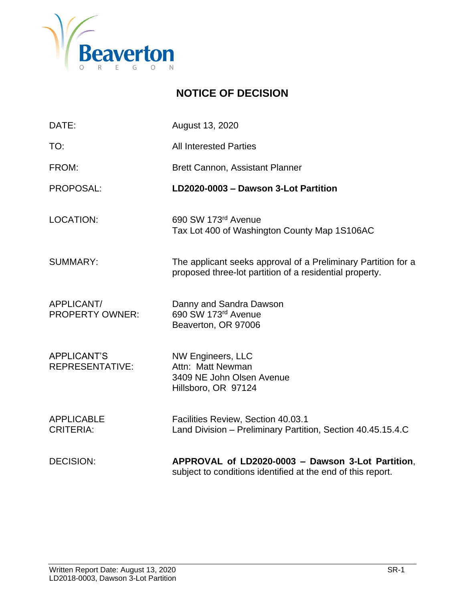

### **NOTICE OF DECISION**

| DATE:                                        | August 13, 2020                                                                                                          |
|----------------------------------------------|--------------------------------------------------------------------------------------------------------------------------|
| TO:                                          | <b>All Interested Parties</b>                                                                                            |
| FROM:                                        | <b>Brett Cannon, Assistant Planner</b>                                                                                   |
| PROPOSAL:                                    | LD2020-0003 - Dawson 3-Lot Partition                                                                                     |
| <b>LOCATION:</b>                             | 690 SW 173rd Avenue<br>Tax Lot 400 of Washington County Map 1S106AC                                                      |
| <b>SUMMARY:</b>                              | The applicant seeks approval of a Preliminary Partition for a<br>proposed three-lot partition of a residential property. |
| APPLICANT/<br><b>PROPERTY OWNER:</b>         | Danny and Sandra Dawson<br>690 SW 173rd Avenue<br>Beaverton, OR 97006                                                    |
| <b>APPLICANT'S</b><br><b>REPRESENTATIVE:</b> | <b>NW Engineers, LLC</b><br>Attn: Matt Newman<br>3409 NE John Olsen Avenue<br>Hillsboro, OR 97124                        |
| <b>APPLICABLE</b><br><b>CRITERIA:</b>        | Facilities Review, Section 40.03.1<br>Land Division - Preliminary Partition, Section 40.45.15.4.C                        |
| <b>DECISION:</b>                             | APPROVAL of LD2020-0003 - Dawson 3-Lot Partition,<br>subject to conditions identified at the end of this report.         |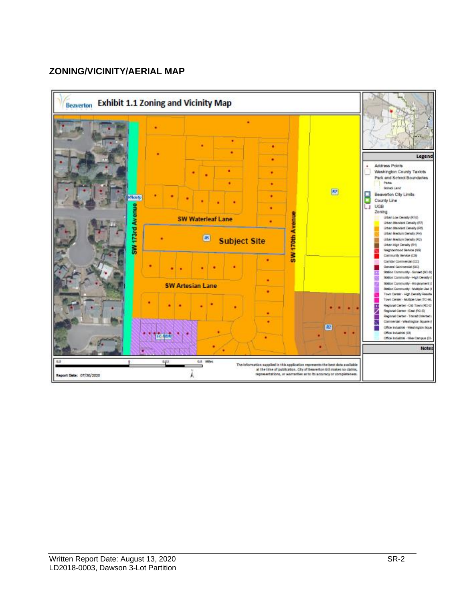#### **ZONING/VICINITY/AERIAL MAP**

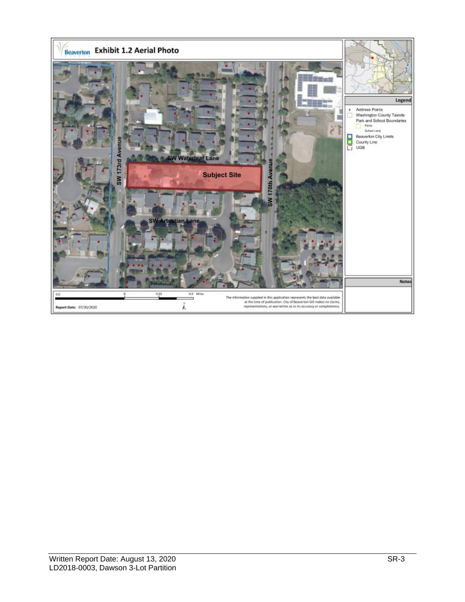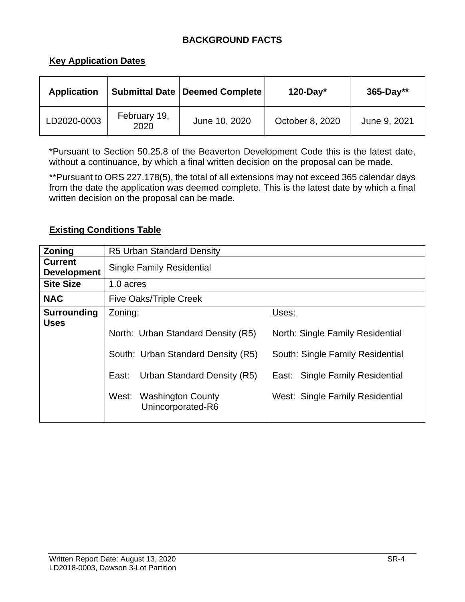#### **BACKGROUND FACTS**

#### **Key Application Dates**

| <b>Application</b> |                      | <b>Submittal Date   Deemed Complete</b> | $120$ -Day*     | $365 - Day**$ |
|--------------------|----------------------|-----------------------------------------|-----------------|---------------|
| LD2020-0003        | February 19,<br>2020 | June 10, 2020                           | October 8, 2020 | June 9, 2021  |

\*Pursuant to Section 50.25.8 of the Beaverton Development Code this is the latest date, without a continuance, by which a final written decision on the proposal can be made.

\*\*Pursuant to ORS 227.178(5), the total of all extensions may not exceed 365 calendar days from the date the application was deemed complete. This is the latest date by which a final written decision on the proposal can be made.

#### **Existing Conditions Table**

| Zoning                               | <b>R5 Urban Standard Density</b>                                                                                                                                            |                                                                                                                                                     |
|--------------------------------------|-----------------------------------------------------------------------------------------------------------------------------------------------------------------------------|-----------------------------------------------------------------------------------------------------------------------------------------------------|
| <b>Current</b><br><b>Development</b> | <b>Single Family Residential</b>                                                                                                                                            |                                                                                                                                                     |
| <b>Site Size</b>                     | 1.0 acres                                                                                                                                                                   |                                                                                                                                                     |
| <b>NAC</b>                           | <b>Five Oaks/Triple Creek</b>                                                                                                                                               |                                                                                                                                                     |
| <b>Surrounding</b><br><b>Uses</b>    | Zoning:<br>North: Urban Standard Density (R5)<br>South: Urban Standard Density (R5)<br>East:<br>Urban Standard Density (R5)<br>West: Washington County<br>Unincorporated-R6 | Uses:<br>North: Single Family Residential<br>South: Single Family Residential<br>East: Single Family Residential<br>West: Single Family Residential |
|                                      |                                                                                                                                                                             |                                                                                                                                                     |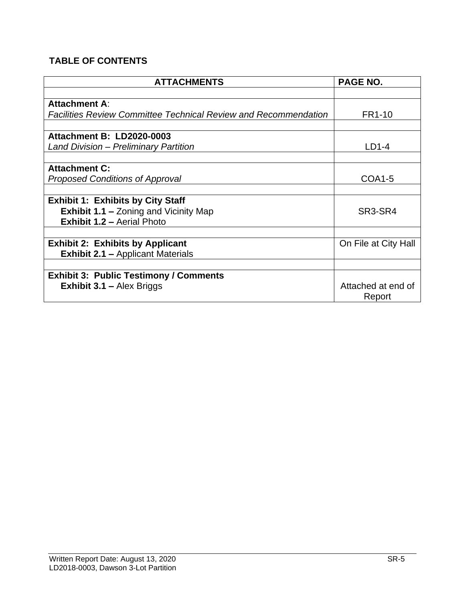### **TABLE OF CONTENTS**

| <b>ATTACHMENTS</b>                                                     | <b>PAGE NO.</b>      |
|------------------------------------------------------------------------|----------------------|
|                                                                        |                      |
| <b>Attachment A:</b>                                                   |                      |
| <b>Facilities Review Committee Technical Review and Recommendation</b> | FR1-10               |
|                                                                        |                      |
| <b>Attachment B: LD2020-0003</b>                                       |                      |
| <b>Land Division - Preliminary Partition</b>                           | $LD1-4$              |
|                                                                        |                      |
| <b>Attachment C:</b>                                                   |                      |
| <b>Proposed Conditions of Approval</b>                                 | <b>COA1-5</b>        |
|                                                                        |                      |
| <b>Exhibit 1: Exhibits by City Staff</b>                               |                      |
| <b>Exhibit 1.1 - Zoning and Vicinity Map</b>                           | SR3-SR4              |
| <b>Exhibit 1.2 - Aerial Photo</b>                                      |                      |
|                                                                        |                      |
| <b>Exhibit 2: Exhibits by Applicant</b>                                | On File at City Hall |
| <b>Exhibit 2.1 - Applicant Materials</b>                               |                      |
|                                                                        |                      |
| <b>Exhibit 3: Public Testimony / Comments</b>                          |                      |
| <b>Exhibit 3.1 - Alex Briggs</b>                                       | Attached at end of   |
|                                                                        | Report               |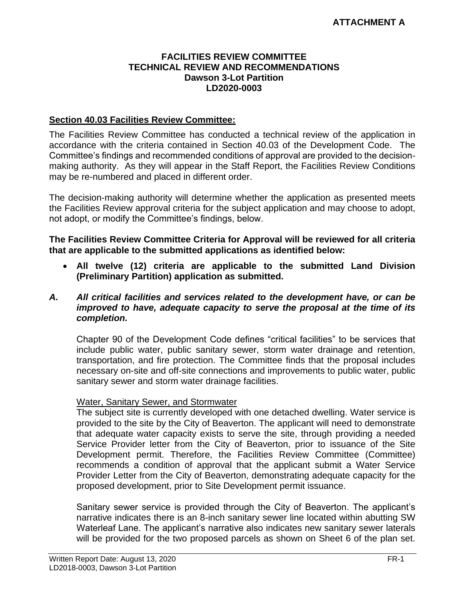#### **FACILITIES REVIEW COMMITTEE TECHNICAL REVIEW AND RECOMMENDATIONS Dawson 3-Lot Partition LD2020-0003**

#### **Section 40.03 Facilities Review Committee:**

The Facilities Review Committee has conducted a technical review of the application in accordance with the criteria contained in Section 40.03 of the Development Code. The Committee's findings and recommended conditions of approval are provided to the decisionmaking authority. As they will appear in the Staff Report, the Facilities Review Conditions may be re-numbered and placed in different order.

The decision-making authority will determine whether the application as presented meets the Facilities Review approval criteria for the subject application and may choose to adopt, not adopt, or modify the Committee's findings, below.

**The Facilities Review Committee Criteria for Approval will be reviewed for all criteria that are applicable to the submitted applications as identified below:**

• **All twelve (12) criteria are applicable to the submitted Land Division (Preliminary Partition) application as submitted.**

#### *A. All critical facilities and services related to the development have, or can be improved to have, adequate capacity to serve the proposal at the time of its completion.*

Chapter 90 of the Development Code defines "critical facilities" to be services that include public water, public sanitary sewer, storm water drainage and retention, transportation, and fire protection. The Committee finds that the proposal includes necessary on-site and off-site connections and improvements to public water, public sanitary sewer and storm water drainage facilities.

#### Water, Sanitary Sewer, and Stormwater

The subject site is currently developed with one detached dwelling. Water service is provided to the site by the City of Beaverton. The applicant will need to demonstrate that adequate water capacity exists to serve the site, through providing a needed Service Provider letter from the City of Beaverton, prior to issuance of the Site Development permit. Therefore, the Facilities Review Committee (Committee) recommends a condition of approval that the applicant submit a Water Service Provider Letter from the City of Beaverton, demonstrating adequate capacity for the proposed development, prior to Site Development permit issuance.

Sanitary sewer service is provided through the City of Beaverton. The applicant's narrative indicates there is an 8-inch sanitary sewer line located within abutting SW Waterleaf Lane. The applicant's narrative also indicates new sanitary sewer laterals will be provided for the two proposed parcels as shown on Sheet 6 of the plan set.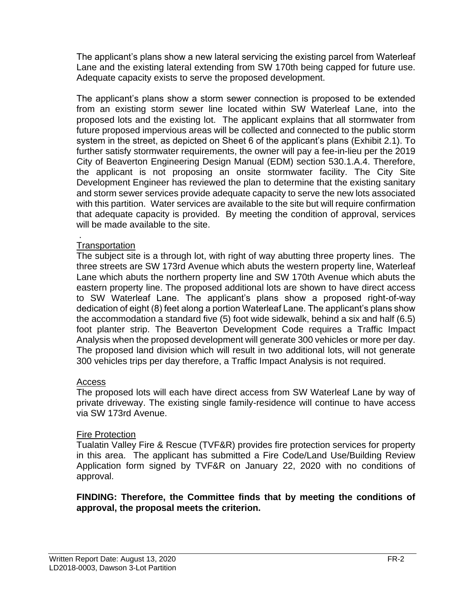The applicant's plans show a new lateral servicing the existing parcel from Waterleaf Lane and the existing lateral extending from SW 170th being capped for future use. Adequate capacity exists to serve the proposed development.

The applicant's plans show a storm sewer connection is proposed to be extended from an existing storm sewer line located within SW Waterleaf Lane, into the proposed lots and the existing lot. The applicant explains that all stormwater from future proposed impervious areas will be collected and connected to the public storm system in the street, as depicted on Sheet 6 of the applicant's plans (Exhibit 2.1). To further satisfy stormwater requirements, the owner will pay a fee-in-lieu per the 2019 City of Beaverton Engineering Design Manual (EDM) section 530.1.A.4. Therefore, the applicant is not proposing an onsite stormwater facility. The City Site Development Engineer has reviewed the plan to determine that the existing sanitary and storm sewer services provide adequate capacity to serve the new lots associated with this partition. Water services are available to the site but will require confirmation that adequate capacity is provided. By meeting the condition of approval, services will be made available to the site.

#### . **Transportation**

The subject site is a through lot, with right of way abutting three property lines. The three streets are SW 173rd Avenue which abuts the western property line, Waterleaf Lane which abuts the northern property line and SW 170th Avenue which abuts the eastern property line. The proposed additional lots are shown to have direct access to SW Waterleaf Lane. The applicant's plans show a proposed right-of-way dedication of eight (8) feet along a portion Waterleaf Lane. The applicant's plans show the accommodation a standard five (5) foot wide sidewalk, behind a six and half (6.5) foot planter strip. The Beaverton Development Code requires a Traffic Impact Analysis when the proposed development will generate 300 vehicles or more per day. The proposed land division which will result in two additional lots, will not generate 300 vehicles trips per day therefore, a Traffic Impact Analysis is not required.

#### Access

The proposed lots will each have direct access from SW Waterleaf Lane by way of private driveway. The existing single family-residence will continue to have access via SW 173rd Avenue.

#### Fire Protection

Tualatin Valley Fire & Rescue (TVF&R) provides fire protection services for property in this area. The applicant has submitted a Fire Code/Land Use/Building Review Application form signed by TVF&R on January 22, 2020 with no conditions of approval.

#### **FINDING: Therefore, the Committee finds that by meeting the conditions of approval, the proposal meets the criterion.**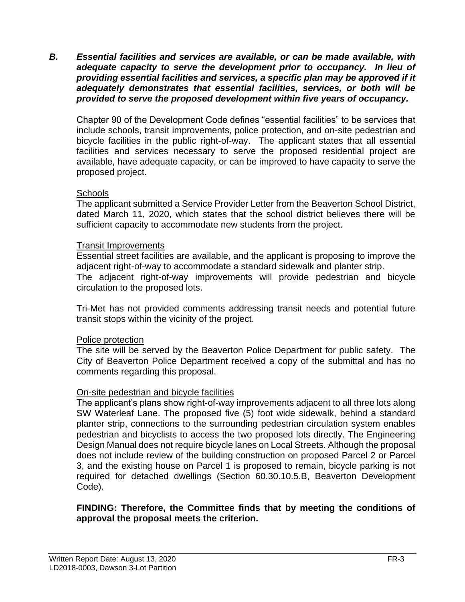*B. Essential facilities and services are available, or can be made available, with adequate capacity to serve the development prior to occupancy. In lieu of providing essential facilities and services, a specific plan may be approved if it adequately demonstrates that essential facilities, services, or both will be provided to serve the proposed development within five years of occupancy.*

Chapter 90 of the Development Code defines "essential facilities" to be services that include schools, transit improvements, police protection, and on-site pedestrian and bicycle facilities in the public right-of-way. The applicant states that all essential facilities and services necessary to serve the proposed residential project are available, have adequate capacity, or can be improved to have capacity to serve the proposed project.

#### **Schools**

The applicant submitted a Service Provider Letter from the Beaverton School District, dated March 11, 2020, which states that the school district believes there will be sufficient capacity to accommodate new students from the project.

#### Transit Improvements

Essential street facilities are available, and the applicant is proposing to improve the adjacent right-of-way to accommodate a standard sidewalk and planter strip. The adjacent right-of-way improvements will provide pedestrian and bicycle circulation to the proposed lots.

Tri-Met has not provided comments addressing transit needs and potential future transit stops within the vicinity of the project.

#### Police protection

The site will be served by the Beaverton Police Department for public safety. The City of Beaverton Police Department received a copy of the submittal and has no comments regarding this proposal.

#### On-site pedestrian and bicycle facilities

The applicant's plans show right-of-way improvements adjacent to all three lots along SW Waterleaf Lane. The proposed five (5) foot wide sidewalk, behind a standard planter strip, connections to the surrounding pedestrian circulation system enables pedestrian and bicyclists to access the two proposed lots directly. The Engineering Design Manual does not require bicycle lanes on Local Streets. Although the proposal does not include review of the building construction on proposed Parcel 2 or Parcel 3, and the existing house on Parcel 1 is proposed to remain, bicycle parking is not required for detached dwellings (Section 60.30.10.5.B, Beaverton Development Code).

#### **FINDING: Therefore, the Committee finds that by meeting the conditions of approval the proposal meets the criterion.**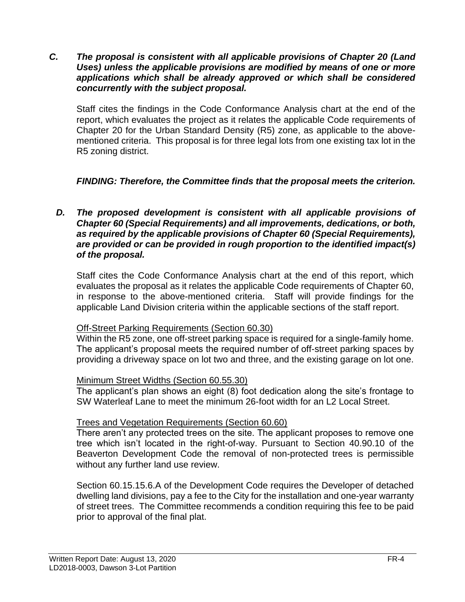*C. The proposal is consistent with all applicable provisions of Chapter 20 (Land Uses) unless the applicable provisions are modified by means of one or more applications which shall be already approved or which shall be considered concurrently with the subject proposal.*

Staff cites the findings in the Code Conformance Analysis chart at the end of the report, which evaluates the project as it relates the applicable Code requirements of Chapter 20 for the Urban Standard Density (R5) zone, as applicable to the abovementioned criteria. This proposal is for three legal lots from one existing tax lot in the R5 zoning district.

#### *FINDING: Therefore, the Committee finds that the proposal meets the criterion.*

#### *D. The proposed development is consistent with all applicable provisions of Chapter 60 (Special Requirements) and all improvements, dedications, or both, as required by the applicable provisions of Chapter 60 (Special Requirements), are provided or can be provided in rough proportion to the identified impact(s) of the proposal.*

Staff cites the Code Conformance Analysis chart at the end of this report, which evaluates the proposal as it relates the applicable Code requirements of Chapter 60, in response to the above-mentioned criteria. Staff will provide findings for the applicable Land Division criteria within the applicable sections of the staff report.

#### Off-Street Parking Requirements (Section 60.30)

Within the R5 zone, one off-street parking space is required for a single-family home. The applicant's proposal meets the required number of off-street parking spaces by providing a driveway space on lot two and three, and the existing garage on lot one.

#### Minimum Street Widths (Section 60.55.30)

The applicant's plan shows an eight (8) foot dedication along the site's frontage to SW Waterleaf Lane to meet the minimum 26-foot width for an L2 Local Street.

#### Trees and Vegetation Requirements (Section 60.60)

There aren't any protected trees on the site. The applicant proposes to remove one tree which isn't located in the right-of-way. Pursuant to Section 40.90.10 of the Beaverton Development Code the removal of non-protected trees is permissible without any further land use review.

Section 60.15.15.6.A of the Development Code requires the Developer of detached dwelling land divisions, pay a fee to the City for the installation and one-year warranty of street trees. The Committee recommends a condition requiring this fee to be paid prior to approval of the final plat.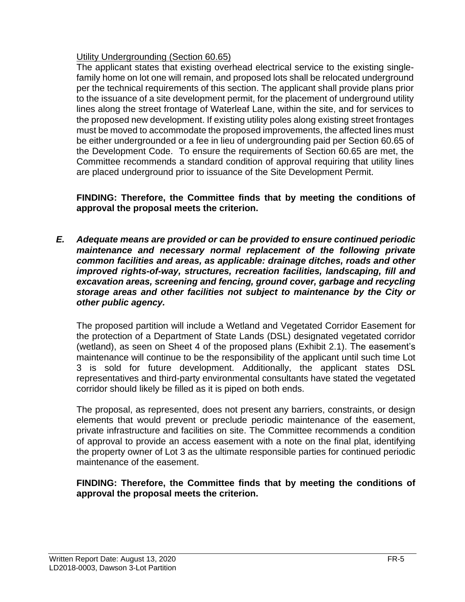#### Utility Undergrounding (Section 60.65)

The applicant states that existing overhead electrical service to the existing singlefamily home on lot one will remain, and proposed lots shall be relocated underground per the technical requirements of this section. The applicant shall provide plans prior to the issuance of a site development permit, for the placement of underground utility lines along the street frontage of Waterleaf Lane, within the site, and for services to the proposed new development. If existing utility poles along existing street frontages must be moved to accommodate the proposed improvements, the affected lines must be either undergrounded or a fee in lieu of undergrounding paid per Section 60.65 of the Development Code. To ensure the requirements of Section 60.65 are met, the Committee recommends a standard condition of approval requiring that utility lines are placed underground prior to issuance of the Site Development Permit.

**FINDING: Therefore, the Committee finds that by meeting the conditions of approval the proposal meets the criterion.** 

*E. Adequate means are provided or can be provided to ensure continued periodic maintenance and necessary normal replacement of the following private common facilities and areas, as applicable: drainage ditches, roads and other improved rights-of-way, structures, recreation facilities, landscaping, fill and excavation areas, screening and fencing, ground cover, garbage and recycling storage areas and other facilities not subject to maintenance by the City or other public agency.*

The proposed partition will include a Wetland and Vegetated Corridor Easement for the protection of a Department of State Lands (DSL) designated vegetated corridor (wetland), as seen on Sheet 4 of the proposed plans (Exhibit 2.1). The easement's maintenance will continue to be the responsibility of the applicant until such time Lot 3 is sold for future development. Additionally, the applicant states DSL representatives and third-party environmental consultants have stated the vegetated corridor should likely be filled as it is piped on both ends.

The proposal, as represented, does not present any barriers, constraints, or design elements that would prevent or preclude periodic maintenance of the easement, private infrastructure and facilities on site. The Committee recommends a condition of approval to provide an access easement with a note on the final plat, identifying the property owner of Lot 3 as the ultimate responsible parties for continued periodic maintenance of the easement.

#### **FINDING: Therefore, the Committee finds that by meeting the conditions of approval the proposal meets the criterion.**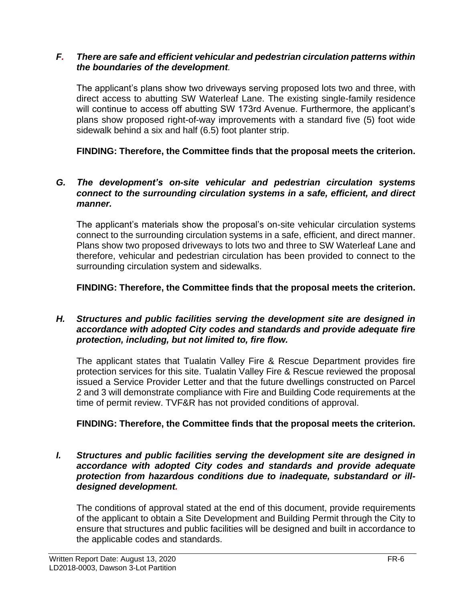#### *F. There are safe and efficient vehicular and pedestrian circulation patterns within the boundaries of the development.*

The applicant's plans show two driveways serving proposed lots two and three, with direct access to abutting SW Waterleaf Lane. The existing single-family residence will continue to access off abutting SW 173rd Avenue. Furthermore, the applicant's plans show proposed right-of-way improvements with a standard five (5) foot wide sidewalk behind a six and half (6.5) foot planter strip.

**FINDING: Therefore, the Committee finds that the proposal meets the criterion.**

#### *G. The development's on-site vehicular and pedestrian circulation systems connect to the surrounding circulation systems in a safe, efficient, and direct manner.*

The applicant's materials show the proposal's on-site vehicular circulation systems connect to the surrounding circulation systems in a safe, efficient, and direct manner. Plans show two proposed driveways to lots two and three to SW Waterleaf Lane and therefore, vehicular and pedestrian circulation has been provided to connect to the surrounding circulation system and sidewalks.

**FINDING: Therefore, the Committee finds that the proposal meets the criterion.**

#### *H. Structures and public facilities serving the development site are designed in accordance with adopted City codes and standards and provide adequate fire protection, including, but not limited to, fire flow.*

The applicant states that Tualatin Valley Fire & Rescue Department provides fire protection services for this site. Tualatin Valley Fire & Rescue reviewed the proposal issued a Service Provider Letter and that the future dwellings constructed on Parcel 2 and 3 will demonstrate compliance with Fire and Building Code requirements at the time of permit review. TVF&R has not provided conditions of approval.

#### **FINDING: Therefore, the Committee finds that the proposal meets the criterion.**

*I. Structures and public facilities serving the development site are designed in accordance with adopted City codes and standards and provide adequate protection from hazardous conditions due to inadequate, substandard or illdesigned development.*

The conditions of approval stated at the end of this document, provide requirements of the applicant to obtain a Site Development and Building Permit through the City to ensure that structures and public facilities will be designed and built in accordance to the applicable codes and standards.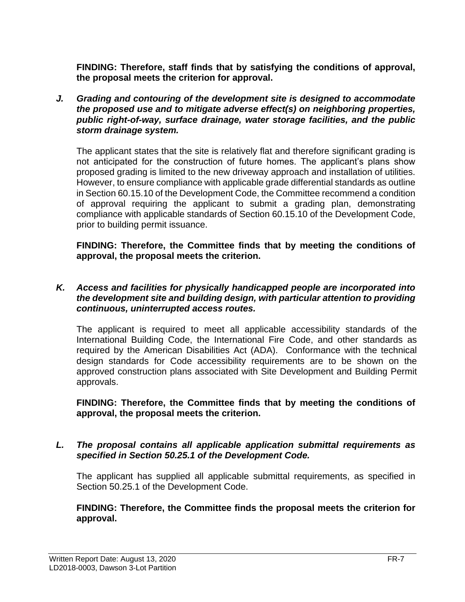**FINDING: Therefore, staff finds that by satisfying the conditions of approval, the proposal meets the criterion for approval.**

*J. Grading and contouring of the development site is designed to accommodate the proposed use and to mitigate adverse effect(s) on neighboring properties, public right-of-way, surface drainage, water storage facilities, and the public storm drainage system.*

The applicant states that the site is relatively flat and therefore significant grading is not anticipated for the construction of future homes. The applicant's plans show proposed grading is limited to the new driveway approach and installation of utilities. However, to ensure compliance with applicable grade differential standards as outline in Section 60.15.10 of the Development Code, the Committee recommend a condition of approval requiring the applicant to submit a grading plan, demonstrating compliance with applicable standards of Section 60.15.10 of the Development Code, prior to building permit issuance.

**FINDING: Therefore, the Committee finds that by meeting the conditions of approval, the proposal meets the criterion.** 

#### *K. Access and facilities for physically handicapped people are incorporated into the development site and building design, with particular attention to providing continuous, uninterrupted access routes.*

The applicant is required to meet all applicable accessibility standards of the International Building Code, the International Fire Code, and other standards as required by the American Disabilities Act (ADA). Conformance with the technical design standards for Code accessibility requirements are to be shown on the approved construction plans associated with Site Development and Building Permit approvals.

**FINDING: Therefore, the Committee finds that by meeting the conditions of approval, the proposal meets the criterion.** 

#### *L. The proposal contains all applicable application submittal requirements as specified in Section 50.25.1 of the Development Code.*

The applicant has supplied all applicable submittal requirements, as specified in Section 50.25.1 of the Development Code.

**FINDING: Therefore, the Committee finds the proposal meets the criterion for approval.**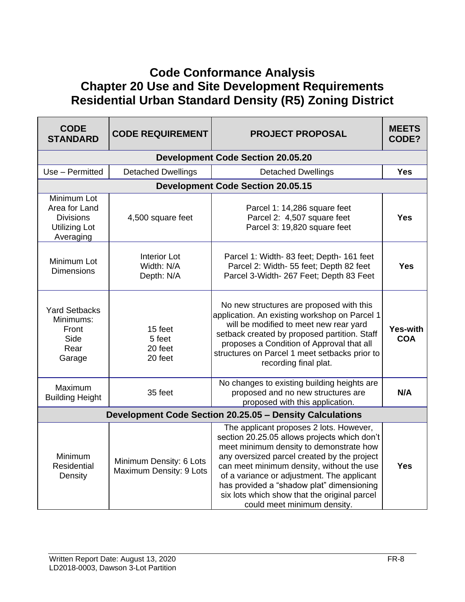## **Code Conformance Analysis Chapter 20 Use and Site Development Requirements Residential Urban Standard Density (R5) Zoning District**

| <b>CODE</b><br><b>STANDARD</b>                                                        | <b>CODE REQUIREMENT</b>                            | <b>PROJECT PROPOSAL</b>                                                                                                                                                                                                                                                                                                                                                                                  | <b>MEETS</b><br>CODE?         |
|---------------------------------------------------------------------------------------|----------------------------------------------------|----------------------------------------------------------------------------------------------------------------------------------------------------------------------------------------------------------------------------------------------------------------------------------------------------------------------------------------------------------------------------------------------------------|-------------------------------|
|                                                                                       |                                                    | <b>Development Code Section 20.05.20</b>                                                                                                                                                                                                                                                                                                                                                                 |                               |
| Use - Permitted                                                                       | <b>Detached Dwellings</b>                          | <b>Detached Dwellings</b>                                                                                                                                                                                                                                                                                                                                                                                | <b>Yes</b>                    |
|                                                                                       |                                                    | <b>Development Code Section 20.05.15</b>                                                                                                                                                                                                                                                                                                                                                                 |                               |
| Minimum Lot<br>Area for Land<br><b>Divisions</b><br><b>Utilizing Lot</b><br>Averaging | 4,500 square feet                                  | Parcel 1: 14,286 square feet<br>Parcel 2: 4,507 square feet<br>Parcel 3: 19,820 square feet                                                                                                                                                                                                                                                                                                              | <b>Yes</b>                    |
| Minimum Lot<br><b>Dimensions</b>                                                      | <b>Interior Lot</b><br>Width: N/A<br>Depth: N/A    | Parcel 1: Width- 83 feet; Depth- 161 feet<br>Parcel 2: Width- 55 feet; Depth 82 feet<br>Parcel 3-Width- 267 Feet; Depth 83 Feet                                                                                                                                                                                                                                                                          | <b>Yes</b>                    |
| <b>Yard Setbacks</b><br>Minimums:<br>Front<br>Side<br>Rear<br>Garage                  | 15 feet<br>5 feet<br>20 feet<br>20 feet            | No new structures are proposed with this<br>application. An existing workshop on Parcel 1<br>will be modified to meet new rear yard<br>setback created by proposed partition. Staff<br>proposes a Condition of Approval that all<br>structures on Parcel 1 meet setbacks prior to<br>recording final plat.                                                                                               | <b>Yes-with</b><br><b>COA</b> |
| Maximum<br><b>Building Height</b>                                                     | 35 feet                                            | No changes to existing building heights are<br>proposed and no new structures are<br>proposed with this application.                                                                                                                                                                                                                                                                                     | N/A                           |
| Development Code Section 20.25.05 - Density Calculations                              |                                                    |                                                                                                                                                                                                                                                                                                                                                                                                          |                               |
| Minimum<br>Residential<br>Density                                                     | Minimum Density: 6 Lots<br>Maximum Density: 9 Lots | The applicant proposes 2 lots. However,<br>section 20.25.05 allows projects which don't<br>meet minimum density to demonstrate how<br>any oversized parcel created by the project<br>can meet minimum density, without the use<br>of a variance or adjustment. The applicant<br>has provided a "shadow plat" dimensioning<br>six lots which show that the original parcel<br>could meet minimum density. | <b>Yes</b>                    |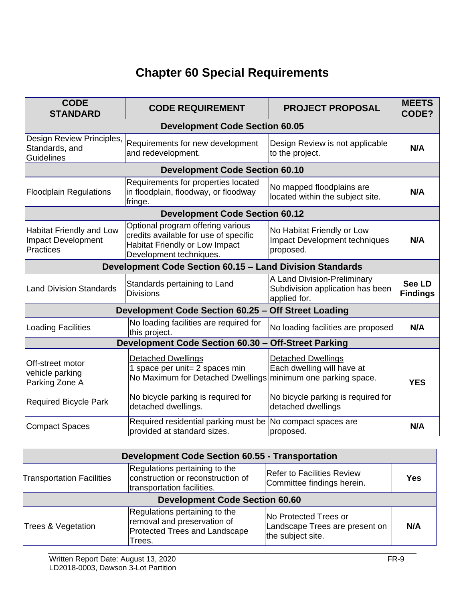# **Chapter 60 Special Requirements**

| <b>CODE</b><br><b>STANDARD</b>                                            | <b>CODE REQUIREMENT</b>                                                                                                                        | <b>PROJECT PROPOSAL</b>                                                               | <b>MEETS</b><br>CODE?            |
|---------------------------------------------------------------------------|------------------------------------------------------------------------------------------------------------------------------------------------|---------------------------------------------------------------------------------------|----------------------------------|
|                                                                           | <b>Development Code Section 60.05</b>                                                                                                          |                                                                                       |                                  |
| Design Review Principles,<br>Standards, and<br><b>Guidelines</b>          | Requirements for new development<br>and redevelopment.                                                                                         | Design Review is not applicable<br>to the project.                                    | N/A                              |
|                                                                           | <b>Development Code Section 60.10</b>                                                                                                          |                                                                                       |                                  |
| <b>Floodplain Regulations</b>                                             | Requirements for properties located<br>in floodplain, floodway, or floodway<br>fringe.                                                         | No mapped floodplains are<br>located within the subject site.                         | N/A                              |
|                                                                           | <b>Development Code Section 60.12</b>                                                                                                          |                                                                                       |                                  |
| Habitat Friendly and Low<br><b>Impact Development</b><br><b>Practices</b> | Optional program offering various<br>credits available for use of specific<br><b>Habitat Friendly or Low Impact</b><br>Development techniques. | No Habitat Friendly or Low<br><b>Impact Development techniques</b><br>proposed.       | N/A                              |
|                                                                           | Development Code Section 60.15 - Land Division Standards                                                                                       |                                                                                       |                                  |
| <b>Land Division Standards</b>                                            | Standards pertaining to Land<br><b>Divisions</b>                                                                                               | A Land Division-Preliminary<br>Subdivision application has been<br>applied for.       | <b>See LD</b><br><b>Findings</b> |
|                                                                           | Development Code Section 60.25 - Off Street Loading                                                                                            |                                                                                       |                                  |
| <b>Loading Facilities</b>                                                 | No loading facilities are required for<br>this project.                                                                                        | No loading facilities are proposed                                                    | N/A                              |
|                                                                           | Development Code Section 60.30 - Off-Street Parking                                                                                            |                                                                                       |                                  |
| Off-street motor<br>vehicle parking<br>Parking Zone A                     | <b>Detached Dwellings</b><br>1 space per unit= 2 spaces min<br>No Maximum for Detached Dwellings                                               | <b>Detached Dwellings</b><br>Each dwelling will have at<br>minimum one parking space. | <b>YES</b>                       |
| <b>Required Bicycle Park</b>                                              | No bicycle parking is required for<br>detached dwellings.                                                                                      | No bicycle parking is required for<br>detached dwellings                              |                                  |
| <b>Compact Spaces</b>                                                     | Required residential parking must be<br>provided at standard sizes.                                                                            | No compact spaces are<br>proposed.                                                    | N/A                              |

| <b>Development Code Section 60.55 - Transportation</b> |                                                                                                                |                                                                              |            |
|--------------------------------------------------------|----------------------------------------------------------------------------------------------------------------|------------------------------------------------------------------------------|------------|
| <b>Transportation Facilities</b>                       | Regulations pertaining to the<br>construction or reconstruction of<br>transportation facilities.               | <b>Refer to Facilities Review</b><br>Committee findings herein.              | <b>Yes</b> |
| <b>Development Code Section 60.60</b>                  |                                                                                                                |                                                                              |            |
| Trees & Vegetation                                     | Regulations pertaining to the<br>removal and preservation of<br><b>Protected Trees and Landscape</b><br>Trees. | No Protected Trees or<br>Landscape Trees are present on<br>the subject site. | N/A        |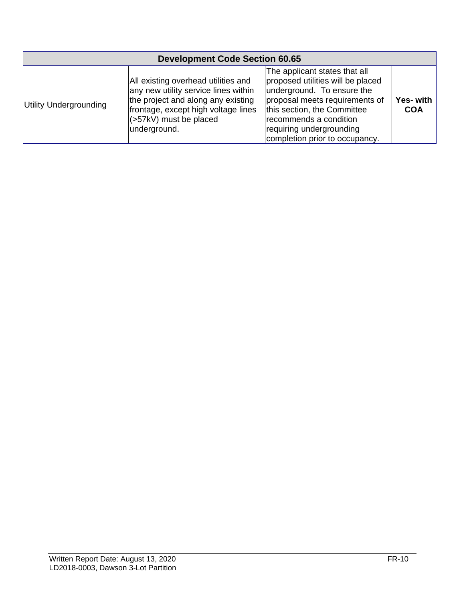| <b>Development Code Section 60.65</b> |                                                                                                                                                                                                     |                                                                                                                                                                                                                                                           |                         |
|---------------------------------------|-----------------------------------------------------------------------------------------------------------------------------------------------------------------------------------------------------|-----------------------------------------------------------------------------------------------------------------------------------------------------------------------------------------------------------------------------------------------------------|-------------------------|
| Utility Undergrounding                | All existing overhead utilities and<br>any new utility service lines within<br>the project and along any existing<br>frontage, except high voltage lines<br>$(57kV)$ must be placed<br>underground. | The applicant states that all<br>proposed utilities will be placed<br>underground. To ensure the<br>proposal meets requirements of<br>this section, the Committee<br>recommends a condition<br>requiring undergrounding<br>completion prior to occupancy. | Yes- with<br><b>COA</b> |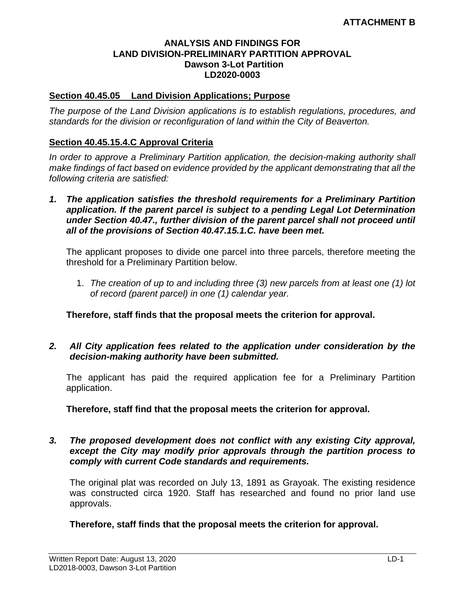#### **ANALYSIS AND FINDINGS FOR LAND DIVISION-PRELIMINARY PARTITION APPROVAL Dawson 3-Lot Partition LD2020-0003**

#### **Section 40.45.05 Land Division Applications; Purpose**

*The purpose of the Land Division applications is to establish regulations, procedures, and standards for the division or reconfiguration of land within the City of Beaverton.* 

#### **Section 40.45.15.4.C Approval Criteria**

*In order to approve a Preliminary Partition application, the decision-making authority shall make findings of fact based on evidence provided by the applicant demonstrating that all the following criteria are satisfied:*

*1. The application satisfies the threshold requirements for a Preliminary Partition application. If the parent parcel is subject to a pending Legal Lot Determination under Section 40.47., further division of the parent parcel shall not proceed until all of the provisions of Section 40.47.15.1.C. have been met.*

The applicant proposes to divide one parcel into three parcels, therefore meeting the threshold for a Preliminary Partition below.

1. *The creation of up to and including three (3) new parcels from at least one (1) lot of record (parent parcel) in one (1) calendar year.*

**Therefore, staff finds that the proposal meets the criterion for approval.**

#### *2. All City application fees related to the application under consideration by the decision-making authority have been submitted.*

The applicant has paid the required application fee for a Preliminary Partition application.

**Therefore, staff find that the proposal meets the criterion for approval.**

*3. The proposed development does not conflict with any existing City approval, except the City may modify prior approvals through the partition process to comply with current Code standards and requirements.*

The original plat was recorded on July 13, 1891 as Grayoak. The existing residence was constructed circa 1920. Staff has researched and found no prior land use approvals.

#### **Therefore, staff finds that the proposal meets the criterion for approval.**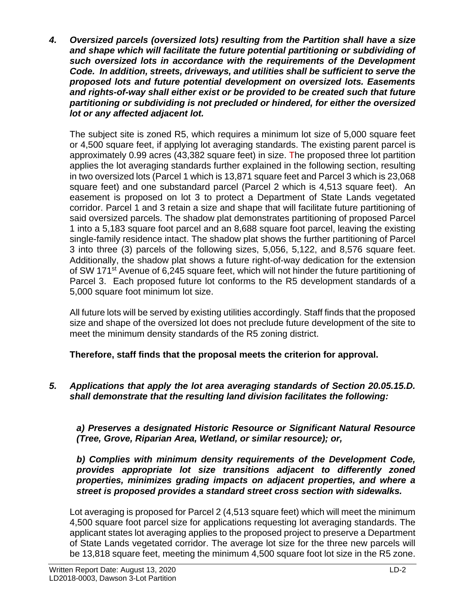*4. Oversized parcels (oversized lots) resulting from the Partition shall have a size and shape which will facilitate the future potential partitioning or subdividing of such oversized lots in accordance with the requirements of the Development Code. In addition, streets, driveways, and utilities shall be sufficient to serve the proposed lots and future potential development on oversized lots. Easements and rights-of-way shall either exist or be provided to be created such that future partitioning or subdividing is not precluded or hindered, for either the oversized lot or any affected adjacent lot.*

The subject site is zoned R5, which requires a minimum lot size of 5,000 square feet or 4,500 square feet, if applying lot averaging standards. The existing parent parcel is approximately 0.99 acres (43,382 square feet) in size. The proposed three lot partition applies the lot averaging standards further explained in the following section, resulting in two oversized lots (Parcel 1 which is 13,871 square feet and Parcel 3 which is 23,068 square feet) and one substandard parcel (Parcel 2 which is 4,513 square feet). An easement is proposed on lot 3 to protect a Department of State Lands vegetated corridor. Parcel 1 and 3 retain a size and shape that will facilitate future partitioning of said oversized parcels. The shadow plat demonstrates partitioning of proposed Parcel 1 into a 5,183 square foot parcel and an 8,688 square foot parcel, leaving the existing single-family residence intact. The shadow plat shows the further partitioning of Parcel 3 into three (3) parcels of the following sizes, 5,056, 5,122, and 8,576 square feet. Additionally, the shadow plat shows a future right-of-way dedication for the extension of SW 171<sup>st</sup> Avenue of 6,245 square feet, which will not hinder the future partitioning of Parcel 3. Each proposed future lot conforms to the R5 development standards of a 5,000 square foot minimum lot size.

All future lots will be served by existing utilities accordingly. Staff finds that the proposed size and shape of the oversized lot does not preclude future development of the site to meet the minimum density standards of the R5 zoning district.

**Therefore, staff finds that the proposal meets the criterion for approval.**

*5. Applications that apply the lot area averaging standards of Section 20.05.15.D. shall demonstrate that the resulting land division facilitates the following:* 

*a) Preserves a designated Historic Resource or Significant Natural Resource (Tree, Grove, Riparian Area, Wetland, or similar resource); or,* 

*b) Complies with minimum density requirements of the Development Code, provides appropriate lot size transitions adjacent to differently zoned properties, minimizes grading impacts on adjacent properties, and where a street is proposed provides a standard street cross section with sidewalks.*

Lot averaging is proposed for Parcel 2 (4,513 square feet) which will meet the minimum 4,500 square foot parcel size for applications requesting lot averaging standards. The applicant states lot averaging applies to the proposed project to preserve a Department of State Lands vegetated corridor. The average lot size for the three new parcels will be 13,818 square feet, meeting the minimum 4,500 square foot lot size in the R5 zone.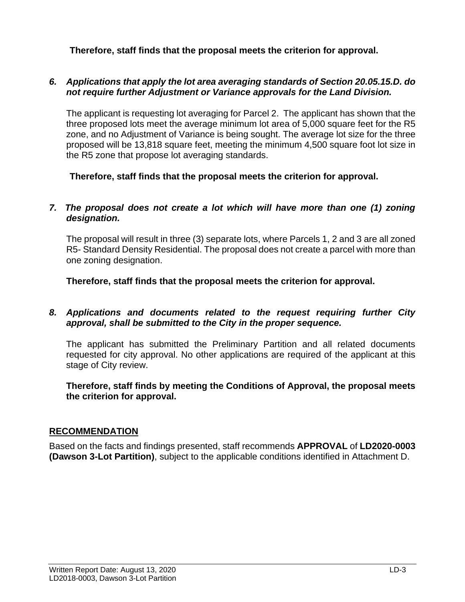**Therefore, staff finds that the proposal meets the criterion for approval.**

#### *6. Applications that apply the lot area averaging standards of Section 20.05.15.D. do not require further Adjustment or Variance approvals for the Land Division.*

The applicant is requesting lot averaging for Parcel 2. The applicant has shown that the three proposed lots meet the average minimum lot area of 5,000 square feet for the R5 zone, and no Adjustment of Variance is being sought. The average lot size for the three proposed will be 13,818 square feet, meeting the minimum 4,500 square foot lot size in the R5 zone that propose lot averaging standards.

**Therefore, staff finds that the proposal meets the criterion for approval.**

#### *7. The proposal does not create a lot which will have more than one (1) zoning designation.*

The proposal will result in three (3) separate lots, where Parcels 1, 2 and 3 are all zoned R5- Standard Density Residential. The proposal does not create a parcel with more than one zoning designation.

**Therefore, staff finds that the proposal meets the criterion for approval.**

#### *8. Applications and documents related to the request requiring further City approval, shall be submitted to the City in the proper sequence.*

The applicant has submitted the Preliminary Partition and all related documents requested for city approval. No other applications are required of the applicant at this stage of City review.

**Therefore, staff finds by meeting the Conditions of Approval, the proposal meets the criterion for approval.**

#### **RECOMMENDATION**

Based on the facts and findings presented, staff recommends **APPROVAL** of **LD2020-0003 (Dawson 3-Lot Partition)**, subject to the applicable conditions identified in Attachment D.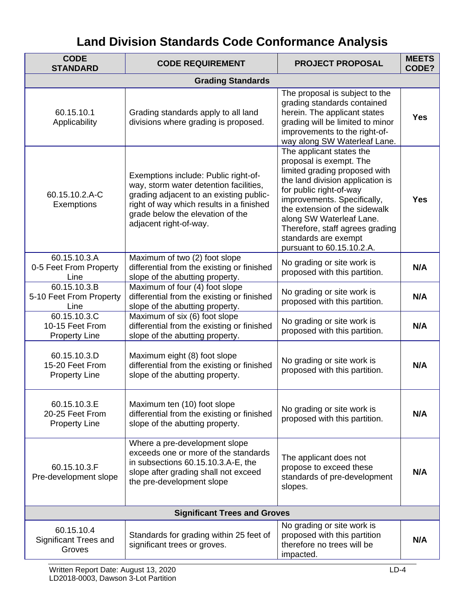# **Land Division Standards Code Conformance Analysis**

| <b>CODE</b><br><b>STANDARD</b>                          | <b>CODE REQUIREMENT</b>                                                                                                                                                                                                             | <b>PROJECT PROPOSAL</b>                                                                                                                                                                                                                                                                                                                 | <b>MEETS</b><br>CODE? |  |
|---------------------------------------------------------|-------------------------------------------------------------------------------------------------------------------------------------------------------------------------------------------------------------------------------------|-----------------------------------------------------------------------------------------------------------------------------------------------------------------------------------------------------------------------------------------------------------------------------------------------------------------------------------------|-----------------------|--|
| <b>Grading Standards</b>                                |                                                                                                                                                                                                                                     |                                                                                                                                                                                                                                                                                                                                         |                       |  |
| 60.15.10.1<br>Applicability                             | Grading standards apply to all land<br>divisions where grading is proposed.                                                                                                                                                         | The proposal is subject to the<br>grading standards contained<br>herein. The applicant states<br>grading will be limited to minor<br>improvements to the right-of-<br>way along SW Waterleaf Lane.                                                                                                                                      | <b>Yes</b>            |  |
| 60.15.10.2.A-C<br>Exemptions                            | Exemptions include: Public right-of-<br>way, storm water detention facilities,<br>grading adjacent to an existing public-<br>right of way which results in a finished<br>grade below the elevation of the<br>adjacent right-of-way. | The applicant states the<br>proposal is exempt. The<br>limited grading proposed with<br>the land division application is<br>for public right-of-way<br>improvements. Specifically,<br>the extension of the sidewalk<br>along SW Waterleaf Lane.<br>Therefore, staff agrees grading<br>standards are exempt<br>pursuant to 60.15.10.2.A. | <b>Yes</b>            |  |
| 60.15.10.3.A<br>0-5 Feet From Property<br>Line          | Maximum of two (2) foot slope<br>differential from the existing or finished<br>slope of the abutting property.                                                                                                                      | No grading or site work is<br>proposed with this partition.                                                                                                                                                                                                                                                                             | N/A                   |  |
| 60.15.10.3.B<br>5-10 Feet From Property<br>Line         | Maximum of four (4) foot slope<br>differential from the existing or finished<br>slope of the abutting property.                                                                                                                     | No grading or site work is<br>proposed with this partition.                                                                                                                                                                                                                                                                             | N/A                   |  |
| 60.15.10.3.C<br>10-15 Feet From<br><b>Property Line</b> | Maximum of six (6) foot slope<br>differential from the existing or finished<br>slope of the abutting property.                                                                                                                      | No grading or site work is<br>proposed with this partition.                                                                                                                                                                                                                                                                             | N/A                   |  |
| 60.15.10.3.D<br>15-20 Feet From<br><b>Property Line</b> | Maximum eight (8) foot slope<br>differential from the existing or finished<br>slope of the abutting property.                                                                                                                       | No grading or site work is<br>proposed with this partition.                                                                                                                                                                                                                                                                             | N/A                   |  |
| 60.15.10.3.E<br>20-25 Feet From<br><b>Property Line</b> | Maximum ten (10) foot slope<br>differential from the existing or finished<br>slope of the abutting property.                                                                                                                        | No grading or site work is<br>proposed with this partition.                                                                                                                                                                                                                                                                             | N/A                   |  |
| 60.15.10.3.F<br>Pre-development slope                   | Where a pre-development slope<br>exceeds one or more of the standards<br>in subsections 60.15.10.3.A-E, the<br>slope after grading shall not exceed<br>the pre-development slope                                                    | The applicant does not<br>propose to exceed these<br>standards of pre-development<br>slopes.                                                                                                                                                                                                                                            | N/A                   |  |
|                                                         | <b>Significant Trees and Groves</b>                                                                                                                                                                                                 |                                                                                                                                                                                                                                                                                                                                         |                       |  |
| 60.15.10.4<br>Significant Trees and<br>Groves           | Standards for grading within 25 feet of<br>significant trees or groves.                                                                                                                                                             | No grading or site work is<br>proposed with this partition<br>therefore no trees will be<br>impacted.                                                                                                                                                                                                                                   | N/A                   |  |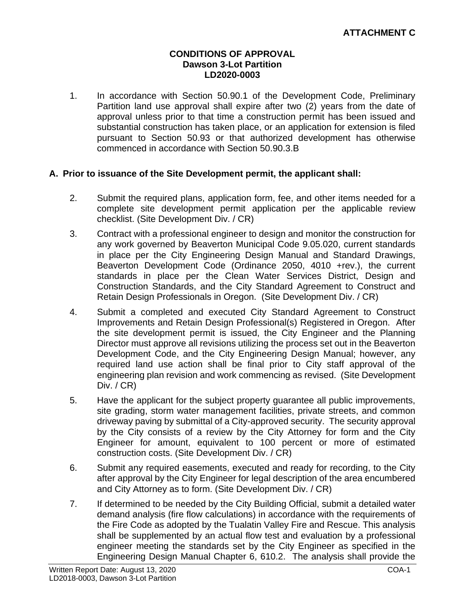#### **CONDITIONS OF APPROVAL Dawson 3-Lot Partition LD2020-0003**

1. In accordance with Section 50.90.1 of the Development Code, Preliminary Partition land use approval shall expire after two (2) years from the date of approval unless prior to that time a construction permit has been issued and substantial construction has taken place, or an application for extension is filed pursuant to Section 50.93 or that authorized development has otherwise commenced in accordance with Section 50.90.3.B

#### **A. Prior to issuance of the Site Development permit, the applicant shall:**

- 2. Submit the required plans, application form, fee, and other items needed for a complete site development permit application per the applicable review checklist. (Site Development Div. / CR)
- 3. Contract with a professional engineer to design and monitor the construction for any work governed by Beaverton Municipal Code 9.05.020, current standards in place per the City Engineering Design Manual and Standard Drawings, Beaverton Development Code (Ordinance 2050, 4010 +rev.), the current standards in place per the Clean Water Services District, Design and Construction Standards, and the City Standard Agreement to Construct and Retain Design Professionals in Oregon. (Site Development Div. / CR)
- 4. Submit a completed and executed City Standard Agreement to Construct Improvements and Retain Design Professional(s) Registered in Oregon. After the site development permit is issued, the City Engineer and the Planning Director must approve all revisions utilizing the process set out in the Beaverton Development Code, and the City Engineering Design Manual; however, any required land use action shall be final prior to City staff approval of the engineering plan revision and work commencing as revised. (Site Development Div. / CR)
- 5. Have the applicant for the subject property guarantee all public improvements, site grading, storm water management facilities, private streets, and common driveway paving by submittal of a City-approved security. The security approval by the City consists of a review by the City Attorney for form and the City Engineer for amount, equivalent to 100 percent or more of estimated construction costs. (Site Development Div. / CR)
- 6. Submit any required easements, executed and ready for recording, to the City after approval by the City Engineer for legal description of the area encumbered and City Attorney as to form. (Site Development Div. / CR)
- 7. If determined to be needed by the City Building Official, submit a detailed water demand analysis (fire flow calculations) in accordance with the requirements of the Fire Code as adopted by the Tualatin Valley Fire and Rescue. This analysis shall be supplemented by an actual flow test and evaluation by a professional engineer meeting the standards set by the City Engineer as specified in the Engineering Design Manual Chapter 6, 610.2. The analysis shall provide the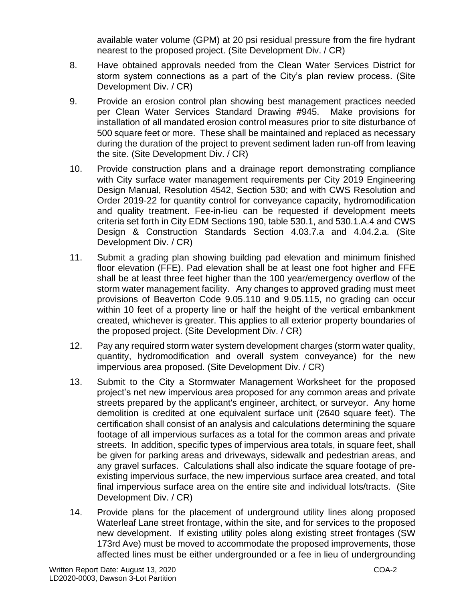available water volume (GPM) at 20 psi residual pressure from the fire hydrant nearest to the proposed project. (Site Development Div. / CR)

- 8. Have obtained approvals needed from the Clean Water Services District for storm system connections as a part of the City's plan review process. (Site Development Div. / CR)
- 9. Provide an erosion control plan showing best management practices needed per Clean Water Services Standard Drawing #945. Make provisions for installation of all mandated erosion control measures prior to site disturbance of 500 square feet or more. These shall be maintained and replaced as necessary during the duration of the project to prevent sediment laden run-off from leaving the site. (Site Development Div. / CR)
- 10. Provide construction plans and a drainage report demonstrating compliance with City surface water management requirements per City 2019 Engineering Design Manual, Resolution 4542, Section 530; and with CWS Resolution and Order 2019-22 for quantity control for conveyance capacity, hydromodification and quality treatment. Fee-in-lieu can be requested if development meets criteria set forth in City EDM Sections 190, table 530.1, and 530.1.A.4 and CWS Design & Construction Standards Section 4.03.7.a and 4.04.2.a. (Site Development Div. / CR)
- 11. Submit a grading plan showing building pad elevation and minimum finished floor elevation (FFE). Pad elevation shall be at least one foot higher and FFE shall be at least three feet higher than the 100 year/emergency overflow of the storm water management facility. Any changes to approved grading must meet provisions of Beaverton Code 9.05.110 and 9.05.115, no grading can occur within 10 feet of a property line or half the height of the vertical embankment created, whichever is greater. This applies to all exterior property boundaries of the proposed project. (Site Development Div. / CR)
- 12. Pay any required storm water system development charges (storm water quality, quantity, hydromodification and overall system conveyance) for the new impervious area proposed. (Site Development Div. / CR)
- 13. Submit to the City a Stormwater Management Worksheet for the proposed project's net new impervious area proposed for any common areas and private streets prepared by the applicant's engineer, architect, or surveyor. Any home demolition is credited at one equivalent surface unit (2640 square feet). The certification shall consist of an analysis and calculations determining the square footage of all impervious surfaces as a total for the common areas and private streets. In addition, specific types of impervious area totals, in square feet, shall be given for parking areas and driveways, sidewalk and pedestrian areas, and any gravel surfaces. Calculations shall also indicate the square footage of preexisting impervious surface, the new impervious surface area created, and total final impervious surface area on the entire site and individual lots/tracts. (Site Development Div. / CR)
- 14. Provide plans for the placement of underground utility lines along proposed Waterleaf Lane street frontage, within the site, and for services to the proposed new development. If existing utility poles along existing street frontages (SW 173rd Ave) must be moved to accommodate the proposed improvements, those affected lines must be either undergrounded or a fee in lieu of undergrounding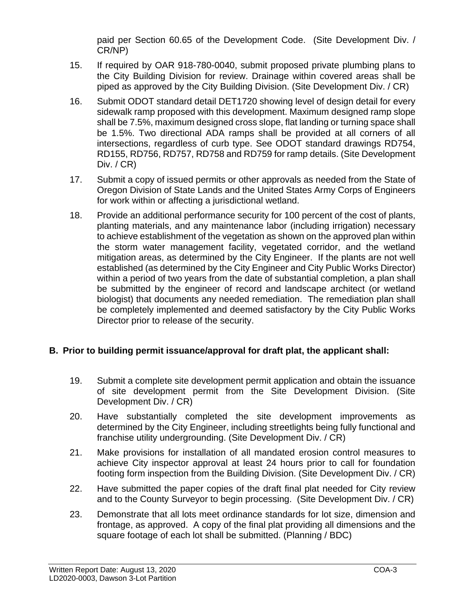paid per Section 60.65 of the Development Code. (Site Development Div. / CR/NP)

- 15. If required by OAR 918-780-0040, submit proposed private plumbing plans to the City Building Division for review. Drainage within covered areas shall be piped as approved by the City Building Division. (Site Development Div. / CR)
- 16. Submit ODOT standard detail DET1720 showing level of design detail for every sidewalk ramp proposed with this development. Maximum designed ramp slope shall be 7.5%, maximum designed cross slope, flat landing or turning space shall be 1.5%. Two directional ADA ramps shall be provided at all corners of all intersections, regardless of curb type. See ODOT standard drawings RD754, RD155, RD756, RD757, RD758 and RD759 for ramp details. (Site Development Div. / CR)
- 17. Submit a copy of issued permits or other approvals as needed from the State of Oregon Division of State Lands and the United States Army Corps of Engineers for work within or affecting a jurisdictional wetland.
- 18. Provide an additional performance security for 100 percent of the cost of plants, planting materials, and any maintenance labor (including irrigation) necessary to achieve establishment of the vegetation as shown on the approved plan within the storm water management facility, vegetated corridor, and the wetland mitigation areas, as determined by the City Engineer. If the plants are not well established (as determined by the City Engineer and City Public Works Director) within a period of two years from the date of substantial completion, a plan shall be submitted by the engineer of record and landscape architect (or wetland biologist) that documents any needed remediation. The remediation plan shall be completely implemented and deemed satisfactory by the City Public Works Director prior to release of the security.

#### **B. Prior to building permit issuance/approval for draft plat, the applicant shall:**

- 19. Submit a complete site development permit application and obtain the issuance of site development permit from the Site Development Division. (Site Development Div. / CR)
- 20. Have substantially completed the site development improvements as determined by the City Engineer, including streetlights being fully functional and franchise utility undergrounding. (Site Development Div. / CR)
- 21. Make provisions for installation of all mandated erosion control measures to achieve City inspector approval at least 24 hours prior to call for foundation footing form inspection from the Building Division. (Site Development Div. / CR)
- 22. Have submitted the paper copies of the draft final plat needed for City review and to the County Surveyor to begin processing. (Site Development Div. / CR)
- 23. Demonstrate that all lots meet ordinance standards for lot size, dimension and frontage, as approved. A copy of the final plat providing all dimensions and the square footage of each lot shall be submitted. (Planning / BDC)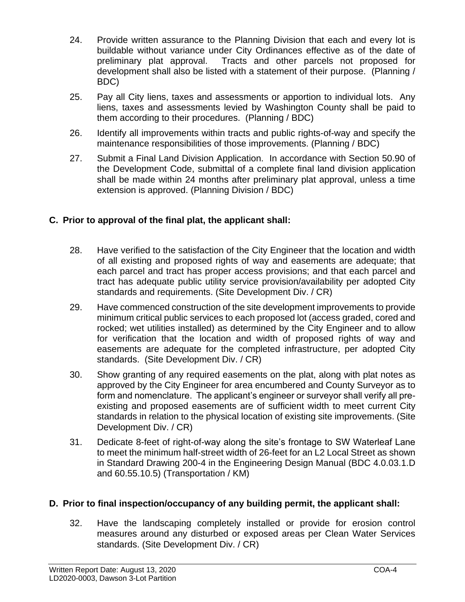- 24. Provide written assurance to the Planning Division that each and every lot is buildable without variance under City Ordinances effective as of the date of preliminary plat approval. Tracts and other parcels not proposed for development shall also be listed with a statement of their purpose. (Planning / BDC)
- 25. Pay all City liens, taxes and assessments or apportion to individual lots. Any liens, taxes and assessments levied by Washington County shall be paid to them according to their procedures. (Planning / BDC)
- 26. Identify all improvements within tracts and public rights-of-way and specify the maintenance responsibilities of those improvements. (Planning / BDC)
- 27. Submit a Final Land Division Application. In accordance with Section 50.90 of the Development Code, submittal of a complete final land division application shall be made within 24 months after preliminary plat approval, unless a time extension is approved. (Planning Division / BDC)

#### **C. Prior to approval of the final plat, the applicant shall:**

- 28. Have verified to the satisfaction of the City Engineer that the location and width of all existing and proposed rights of way and easements are adequate; that each parcel and tract has proper access provisions; and that each parcel and tract has adequate public utility service provision/availability per adopted City standards and requirements. (Site Development Div. / CR)
- 29. Have commenced construction of the site development improvements to provide minimum critical public services to each proposed lot (access graded, cored and rocked; wet utilities installed) as determined by the City Engineer and to allow for verification that the location and width of proposed rights of way and easements are adequate for the completed infrastructure, per adopted City standards. (Site Development Div. / CR)
- 30. Show granting of any required easements on the plat, along with plat notes as approved by the City Engineer for area encumbered and County Surveyor as to form and nomenclature. The applicant's engineer or surveyor shall verify all preexisting and proposed easements are of sufficient width to meet current City standards in relation to the physical location of existing site improvements. (Site Development Div. / CR)
- 31. Dedicate 8-feet of right-of-way along the site's frontage to SW Waterleaf Lane to meet the minimum half-street width of 26-feet for an L2 Local Street as shown in Standard Drawing 200-4 in the Engineering Design Manual (BDC 4.0.03.1.D and 60.55.10.5) (Transportation / KM)

#### **D. Prior to final inspection/occupancy of any building permit, the applicant shall:**

32. Have the landscaping completely installed or provide for erosion control measures around any disturbed or exposed areas per Clean Water Services standards. (Site Development Div. / CR)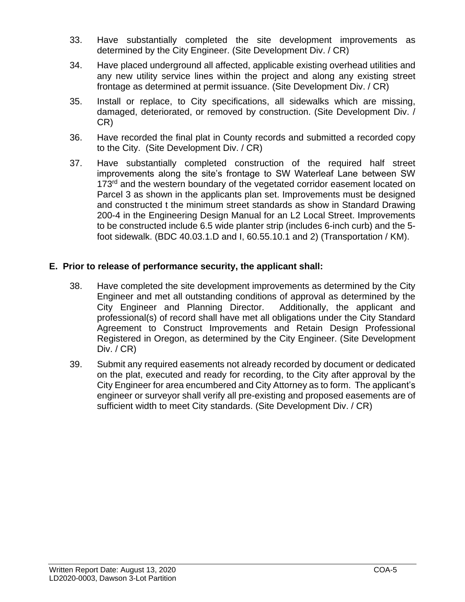- 33. Have substantially completed the site development improvements as determined by the City Engineer. (Site Development Div. / CR)
- 34. Have placed underground all affected, applicable existing overhead utilities and any new utility service lines within the project and along any existing street frontage as determined at permit issuance. (Site Development Div. / CR)
- 35. Install or replace, to City specifications, all sidewalks which are missing, damaged, deteriorated, or removed by construction. (Site Development Div. / CR)
- 36. Have recorded the final plat in County records and submitted a recorded copy to the City. (Site Development Div. / CR)
- 37. Have substantially completed construction of the required half street improvements along the site's frontage to SW Waterleaf Lane between SW 173<sup>rd</sup> and the western boundary of the vegetated corridor easement located on Parcel 3 as shown in the applicants plan set. Improvements must be designed and constructed t the minimum street standards as show in Standard Drawing 200-4 in the Engineering Design Manual for an L2 Local Street. Improvements to be constructed include 6.5 wide planter strip (includes 6-inch curb) and the 5 foot sidewalk. (BDC 40.03.1.D and I, 60.55.10.1 and 2) (Transportation / KM).

#### **E. Prior to release of performance security, the applicant shall:**

- 38. Have completed the site development improvements as determined by the City Engineer and met all outstanding conditions of approval as determined by the City Engineer and Planning Director. Additionally, the applicant and professional(s) of record shall have met all obligations under the City Standard Agreement to Construct Improvements and Retain Design Professional Registered in Oregon, as determined by the City Engineer. (Site Development Div. / CR)
- 39. Submit any required easements not already recorded by document or dedicated on the plat, executed and ready for recording, to the City after approval by the City Engineer for area encumbered and City Attorney as to form. The applicant's engineer or surveyor shall verify all pre-existing and proposed easements are of sufficient width to meet City standards. (Site Development Div. / CR)